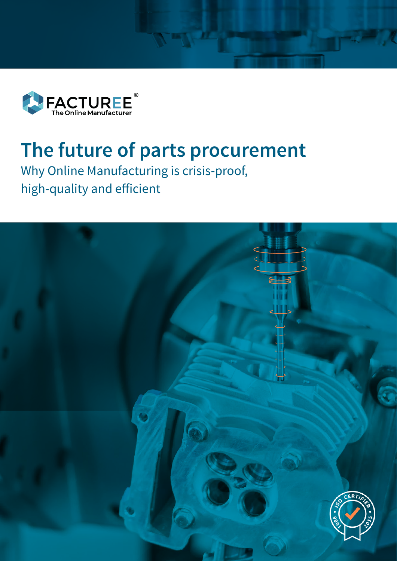

# **The future of parts procurement**

Why Online Manufacturing is crisis-proof, high-quality and efficient

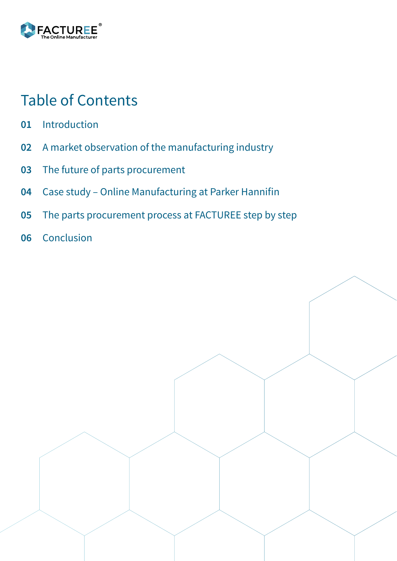

### Table of Contents

- [Introduction](#page-2-0) **01**
- [A market observation of the manufacturing industry](#page-3-0) **02**
- [The future of parts procurement](#page-5-0) **03**
- [Case study Online Manufacturing at Parker Hannifin](#page-8-0) **04**
- [The parts procurement process at FACTUREE step by step](#page-10-0) **05**
- [Conclusion](#page-13-0) **06**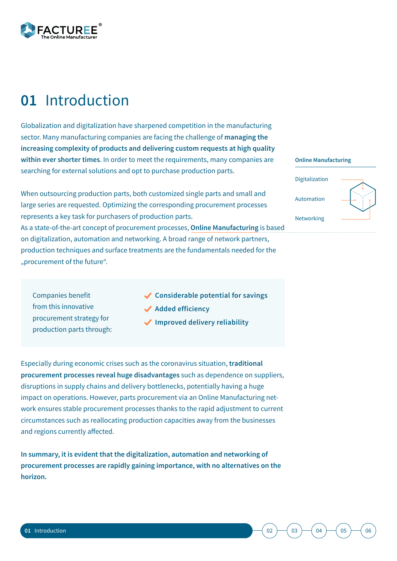<span id="page-2-0"></span>

### **01** Introduction

Globalization and digitalization have sharpened competition in the manufacturing sector. Many manufacturing companies are facing the challenge of **managing the increasing complexity of products and delivering custom requests at high quality within ever shorter times**. In order to meet the requirements, many companies are searching for external solutions and opt to purchase production parts.

When outsourcing production parts, both customized single parts and small and large series are requested. Optimizing the corresponding procurement processes represents a key task for purchasers of production parts. As a state-of-the-art concept of procurement processes, **Online Manufacturing** is based on digitalization, automation and networking. A broad range of network partners,

production techniques and surface treatments are the fundamentals needed for the "procurement of the future".

- Companies benefit from this innovative procurement strategy for production parts through:
- **Considerable potential for savings**
- **Added efficiency**
- **Improved delivery reliability**

Especially during economic crises such as the coronavirus situation, **traditional procurement processes reveal huge disadvantages** such as dependence on suppliers, disruptions in supply chains and delivery bottlenecks, potentially having a huge impact on operations. However, parts procurement via an Online Manufacturing network ensures stable procurement processes thanks to the rapid adjustment to current circumstances such as reallocating production capacities away from the businesses and regions currently affected.

**In summary, it is evident that the digitalization, automation and networking of procurement processes are rapidly gaining importance, with no alternatives on the horizon.**

#### **Online Manufacturing**

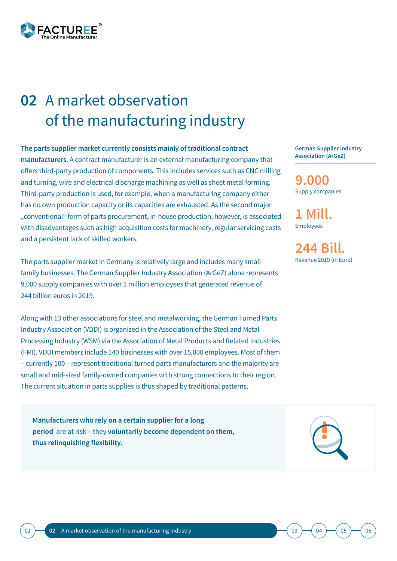<span id="page-3-0"></span>

### A market observation **02** of the manufacturing industry

**The parts supplier market currently consists mainly of traditional contract manufacturers.** A contract manufacturer is an external manufacturing company that offers third-party production of components. This includes services such as CNC milling and turning, wire and electrical discharge machining as well as sheet metal forming. Third-party production is used, for example, when a manufacturing company either has no own production capacity or its capacities are exhausted. As the second major "conventional" form of parts procurement, in-house production, however, is associated with disadvantages such as high acquisition costs for machinery, regular servicing costs and a persistent lack of skilled workers.

The parts supplier market in Germany is relatively large and includes many small family businesses. The German Supplier Industry Association (ArGeZ) alone represents 9,000 supply companies with over 1 million employees that generated revenue of 244 billion euros in 2019.

Along with 13 other associations for steel and metalworking, the German Turned Parts Industry Association (VDDI) is organized in the Association of the Steel and Metal Processing Industry (WSM) via the Association of Metal Products and Related Industries (FMI). VDDI members include 140 businesses with over 15,000 employees. Most of them – currently 100 – represent traditional turned parts manufacturers and the majority are small and mid-sized family-owned companies with strong connections to their region. The current situation in parts supplies is thus shaped by traditional patterns.

**Manufacturers who rely on a certain supplier for a long period** are at risk – they **voluntarily become dependent on them, thus relinquishing flexibility.**

**German Supplier Industry Association (ArGeZ)**

Supply companies **9.000** 

Employees **1 Mill.**

Revenue 2019 (in Euro) **244 Bill.**

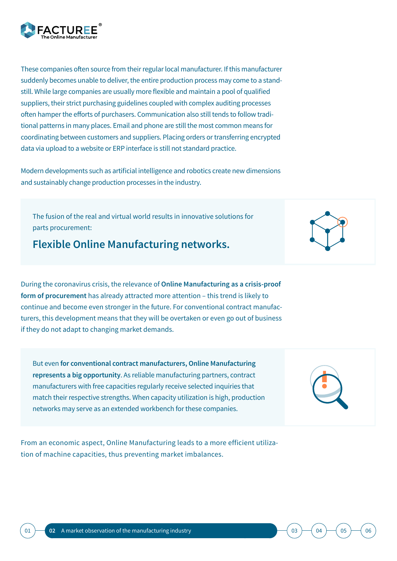These companies often source from their regular local manufacturer. If this manufacturer suddenly becomes unable to deliver, the entire production process may come to a standstill. While large companies are usually more flexible and maintain a pool of qualified suppliers, their strict purchasing guidelines coupled with complex auditing processes often hamper the efforts of purchasers. Communication also still tends to follow traditional patterns in many places. Email and phone are still the most common means for coordinating between customers and suppliers. Placing orders or transferring encrypted data via upload to a website or ERP interface is still not standard practice.

Modern developments such as artificial intelligence and robotics create new dimensions and sustainably change production processes in the industry.

The fusion of the real and virtual world results in innovative solutions for parts procurement:

**Flexible Online Manufacturing networks.**

During the coronavirus crisis, the relevance of **Online Manufacturing as a crisis-proof form of procurement** has already attracted more attention – this trend is likely to continue and become even stronger in the future. For conventional contract manufacturers, this development means that they will be overtaken or even go out of business if they do not adapt to changing market demands.

But even **for conventional contract manufacturers, Online Manufacturing represents a big opportunity**. As reliable manufacturing partners, contract manufacturers with free capacities regularly receive selected inquiries that match their respective strengths. When capacity utilization is high, production networks may serve as an extended workbench for these companies.

From an economic aspect, Online Manufacturing leads to a more efficient utilization of machine capacities, thus preventing market imbalances.





 $03$  )  $($  [04](#page-8-0) )  $($  [05](#page-10-0) )  $($  [06](#page-13-0)

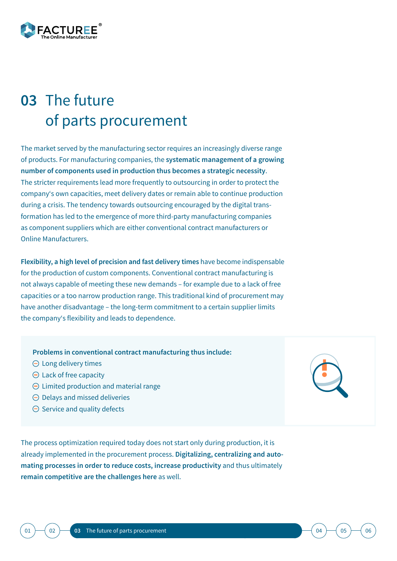<span id="page-5-0"></span>

## **03 The future** of parts procurement

The market served by the manufacturing sector requires an increasingly diverse range of products. For manufacturing companies, the **systematic management of a growing number of components used in production thus becomes a strategic necessity**. The stricter requirements lead more frequently to outsourcing in order to protect the company's own capacities, meet delivery dates or remain able to continue production during a crisis. The tendency towards outsourcing encouraged by the digital transformation has led to the emergence of more third-party manufacturing companies as component suppliers which are either conventional contract manufacturers or Online Manufacturers.

**Flexibility, a high level of precision and fast delivery times** have become indispensable for the production of custom components. Conventional contract manufacturing is not always capable of meeting these new demands – for example due to a lack of free capacities or a too narrow production range. This traditional kind of procurement may have another disadvantage – the long-term commitment to a certain supplier limits the company's flexibility and leads to dependence.

**Problems in conventional contract manufacturing thus include:**

- $\Theta$  Long delivery times
- $\Theta$  Lack of free capacity
- $\Theta$  Limited production and material range
- $\Theta$  Delays and missed deliveries
- $\Theta$  Service and quality defects

The process optimization required today does not start only during production, it is already implemented in the procurement process. **Digitalizing, centralizing and automating processes in order to reduce costs, increase productivity** and thus ultimately **remain competitive are the challenges here** as well.





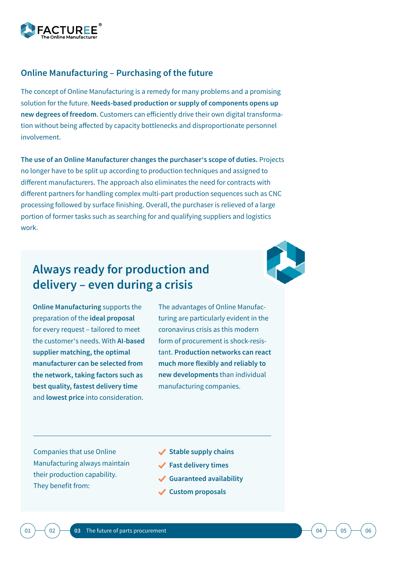

### **Online Manufacturing – Purchasing of the future**

The concept of Online Manufacturing is a remedy for many problems and a promising solution for the future. **Needs-based production or supply of components opens up new degrees of freedom**. Customers can efficiently drive their own digital transformation without being affected by capacity bottlenecks and disproportionate personnel involvement.

**The use of an Online Manufacturer changes the purchaser's scope of duties.** Projects no longer have to be split up according to production techniques and assigned to different manufacturers. The approach also eliminates the need for contracts with different partners for handling complex multi-part production sequences such as CNC processing followed by surface finishing. Overall, the purchaser is relieved of a large portion of former tasks such as searching for and qualifying suppliers and logistics work.

### **Always ready for production and delivery – even during a crisis**

**Online Manufacturing** supports the preparation of the **ideal proposal**  for every request – tailored to meet the customer's needs. With **AI-based supplier matching, the optimal manufacturer can be selected from the network, taking factors such as best quality, fastest delivery time**  and **lowest price** into consideration.

The advantages of Online Manufacturing are particularly evident in the coronavirus crisis as this modern form of procurement is shock-resistant. **Production networks can react much more flexibly and reliably to new developments** than individual manufacturing companies.

Companies that use Online Manufacturing always maintain their production capability. They benefit from:

- **Stable supply chains**
- **Fast delivery times**
- **Guaranteed availability**
- **Custom proposals**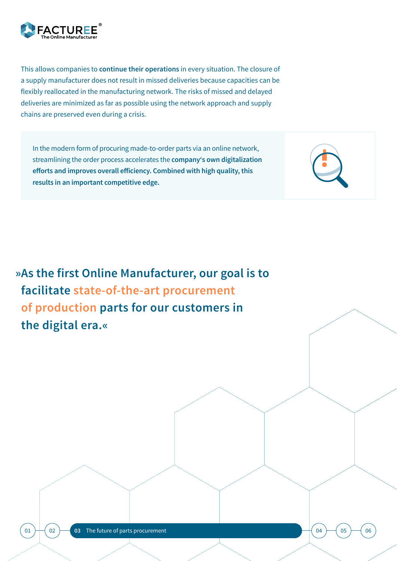

This allows companies to **continue their operations** in every situation. The closure of a supply manufacturer does not result in missed deliveries because capacities can be flexibly reallocated in the manufacturing network. The risks of missed and delayed deliveries are minimized as far as possible using the network approach and supply chains are preserved even during a crisis.

In the modern form of procuring made-to-order parts via an online network, streamlining the order process accelerates the **company's own digitalization efforts and improves overall efficiency. Combined with high quality, this results in an important competitive edge.**



**»As the first Online Manufacturer, our goal is to facilitate state-of-the-art procurement of production parts for our customers in the digital era.«**

[01](#page-2-0)  $\rightarrow$  ([02](#page-3-0)  $\rightarrow$  03 [The future of parts procurement](#page-5-0)

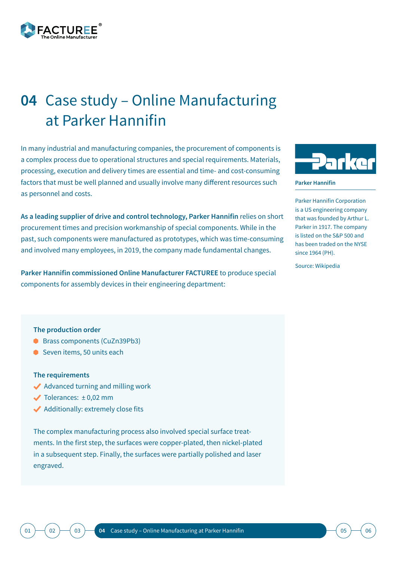<span id="page-8-0"></span>

## Case study – Online Manufacturing **04** at Parker Hannifin

In many industrial and manufacturing companies, the procurement of components is a complex process due to operational structures and special requirements. Materials, processing, execution and delivery times are essential and time- and cost-consuming factors that must be well planned and usually involve many different resources such as personnel and costs.

**As a leading supplier of drive and control technology, Parker Hannifin** relies on short procurement times and precision workmanship of special components. While in the past, such components were manufactured as prototypes, which was time-consuming and involved many employees, in 2019, the company made fundamental changes.

**Parker Hannifin commissioned Online Manufacturer FACTUREE** to produce special components for assembly devices in their engineering department:



**Parker Hannifin**

Parker Hannifin Corporation is a US engineering company that was founded by Arthur L. Parker in 1917. The company is listed on the S&P 500 and has been traded on the NYSE since 1964 (PH).

Source: Wikipedia

#### **The production order**

- Brass components (CuZn39Pb3)
- Seven items, 50 units each

### **The requirements**

- ◆ Advanced turning and milling work
- $\checkmark$  Tolerances:  $\pm$  0,02 mm
- ◆ Additionally: extremely close fits

The complex manufacturing process also involved special surface treatments. In the first step, the surfaces were copper-plated, then nickel-plated in a subsequent step. Finally, the surfaces were partially polished and laser engraved.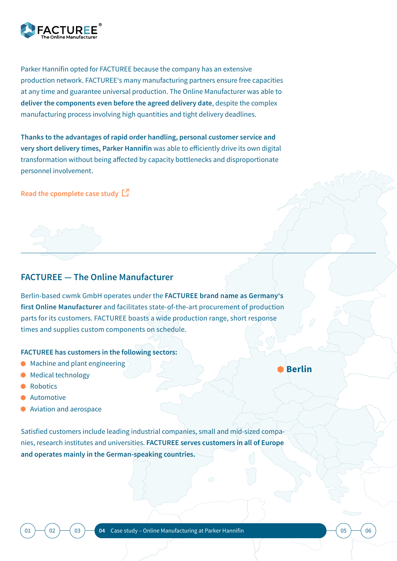

Parker Hannifin opted for FACTUREE because the company has an extensive production network. FACTUREE's many manufacturing partners ensure free capacities at any time and guarantee universal production. The Online Manufacturer was able to **deliver the components even before the agreed delivery date**, despite the complex manufacturing process involving high quantities and tight delivery deadlines.

**Thanks to the advantages of rapid order handling, personal customer service and very short delivery times, Parker Hannifin** was able to efficiently drive its own digital transformation without being affected by capacity bottlenecks and disproportionate personnel involvement.

**[Read the cpomplete case study](https://www.facturee.de/parker-hannifin-setzt-auf-zeitgemaesse-online-fertigung/)**

### **FACTUREE — The Online Manufacturer**

Berlin-based cwmk GmbH operates under the **FACTUREE brand name as Germany's first Online Manufacturer** and facilitates state-of-the-art procurement of production parts for its customers. FACTUREE boasts a wide production range, short response times and supplies custom components on schedule.

### **FACTUREE has customers in the following sectors:**

- **Machine and plant engineering**
- **Medical technology**
- **Robotics**
- **Automotive**
- **Aviation and aerospace**

Satisfied customers include leading industrial companies, small and mid-sized companies, research institutes and universities. **FACTUREE serves customers in all of Europe and operates mainly in the German-speaking countries.**

**Berlin**

MSST

[01](#page-2-0) ) ([02](#page-3-0) ) ([03](#page-5-0) ) **04** Case study – Online Manufacturing at Parker Hannifin (03 ) ([05](#page-10-0) ) ([06](#page-13-0) ) (06 ) (06 ) (06 ) (06 ) (06 ) (06 ) (06 ) (06 ) (06 ) (06 ) (06 ) (06 ) (06 ) (06 ) (06 ) (06 ) (06 ) (06 ) (06 ) (06 ) (06 ) (06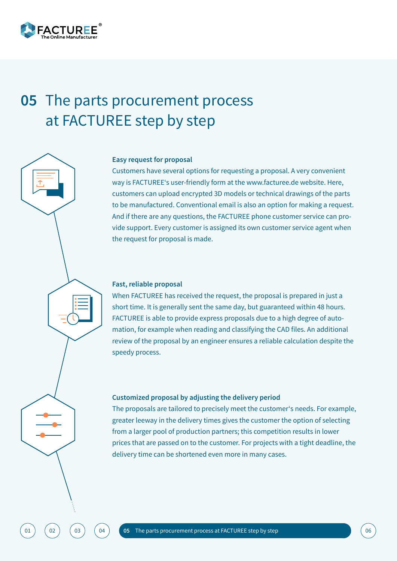<span id="page-10-0"></span>

### **05 The parts procurement process** at FACTUREE step by step

#### **Easy request for proposal**

Customers have several options for requesting a proposal. A very convenient way is FACTUREE's user-friendly form at the www.facturee.de website. Here, customers can upload encrypted 3D models or technical drawings of the parts to be manufactured. Conventional email is also an option for making a request. And if there are any questions, the FACTUREE phone customer service can provide support. Every customer is assigned its own customer service agent when the request for proposal is made.

### **Fast, reliable proposal**

When FACTUREE has received the request, the proposal is prepared in just a short time. It is generally sent the same day, but guaranteed within 48 hours. FACTUREE is able to provide express proposals due to a high degree of automation, for example when reading and classifying the CAD files. An additional review of the proposal by an engineer ensures a reliable calculation despite the speedy process.

#### **Customized proposal by adjusting the delivery period**

The proposals are tailored to precisely meet the customer's needs. For example, greater leeway in the delivery times gives the customer the option of selecting from a larger pool of production partners; this competition results in lower prices that are passed on to the customer. For projects with a tight deadline, the delivery time can be shortened even more in many cases.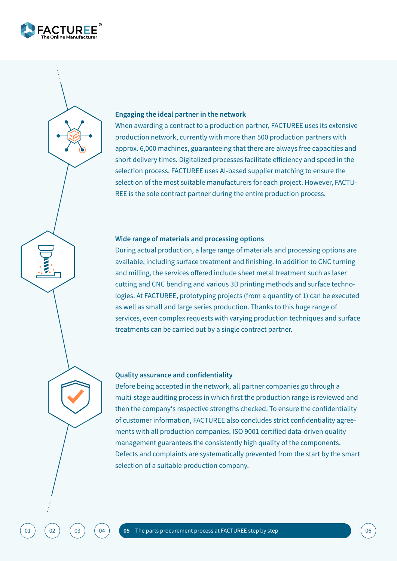

#### **Engaging the ideal partner in the network**

When awarding a contract to a production partner, FACTUREE uses its extensive production network, currently with more than 500 production partners with approx. 6,000 machines, guaranteeing that there are always free capacities and short delivery times. Digitalized processes facilitate efficiency and speed in the selection process. FACTUREE uses AI-based supplier matching to ensure the selection of the most suitable manufacturers for each project. However, FACTU-REE is the sole contract partner during the entire production process.

#### **Wide range of materials and processing options**

During actual production, a large range of materials and processing options are available, including surface treatment and finishing. In addition to CNC turning and milling, the services offered include sheet metal treatment such as laser cutting and CNC bending and various 3D printing methods and surface technologies. At FACTUREE, prototyping projects (from a quantity of 1) can be executed as well as small and large series production. Thanks to this huge range of services, even complex requests with varying production techniques and surface treatments can be carried out by a single contract partner.

#### **Quality assurance and confidentiality**

Before being accepted in the network, all partner companies go through a multi-stage auditing process in which first the production range is reviewed and then the company's respective strengths checked. To ensure the confidentiality of customer information, FACTUREE also concludes strict confidentiality agreements with all production companies. ISO 9001 certified data-driven quality management guarantees the consistently high quality of the components. Defects and complaints are systematically prevented from the start by the smart selection of a suitable production company.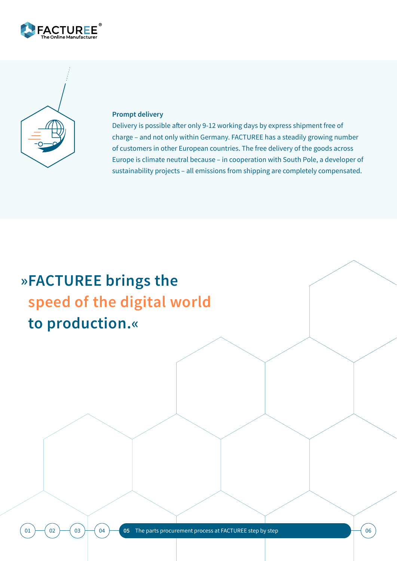



### **Prompt delivery**

Delivery is possible after only 9-12 working days by express shipment free of charge – and not only within Germany. FACTUREE has a steadily growing number of customers in other European countries. The free delivery of the goods across Europe is climate neutral because – in cooperation with South Pole, a developer of sustainability projects – all emissions from shipping are completely compensated.

## **»FACTUREE brings the speed of the digital world to production.«**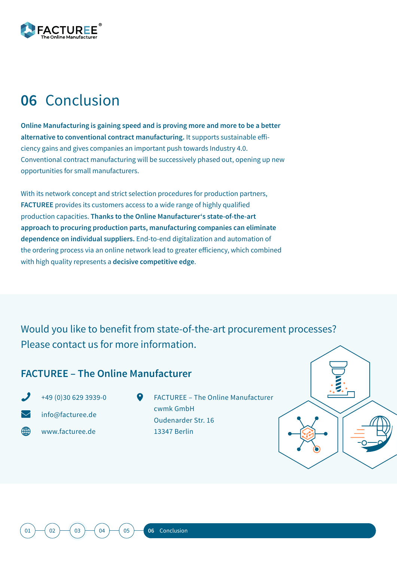<span id="page-13-0"></span>

### **06** Conclusion

**Online Manufacturing is gaining speed and is proving more and more to be a better alternative to conventional contract manufacturing.** It supports sustainable efficiency gains and gives companies an important push towards Industry 4.0. Conventional contract manufacturing will be successively phased out, opening up new opportunities for small manufacturers.

With its network concept and strict selection procedures for production partners, **FACTUREE** provides its customers access to a wide range of highly qualified production capacities. **Thanks to the Online Manufacturer's state-of-the-art approach to procuring production parts, manufacturing companies can eliminate dependence on individual suppliers.** End-to-end digitalization and automation of the ordering process via an online network lead to greater efficiency, which combined with high quality represents a **decisive competitive edge**.

Would you like to benefit from state-of-the-art procurement processes? Please contact us for more information.

### **FACTUREE – The Online Manufacturer**

Æ

+49 (0)30 629 3939-0 info@facturee.de

www.facturee.de

FACTUREE – The Online Manufacturer cwmk GmbH Oudenarder Str. 16 13347 Berlin